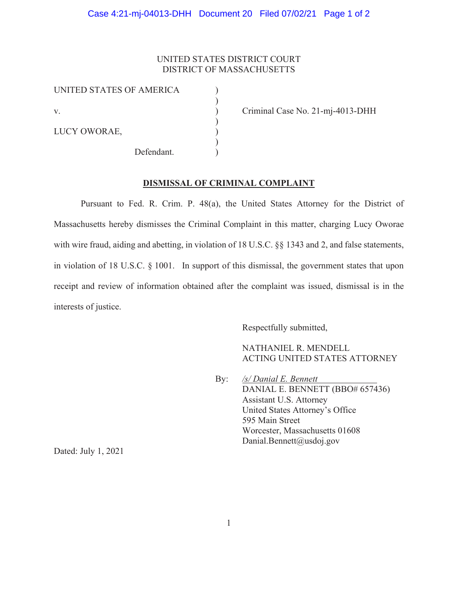## UNITED STATES DISTRICT COURT DISTRICT OF MASSACHUSETTS

)

)

)

UNITED STATES OF AMERICA )

LUCY OWORAE,

Defendant.

v. Criminal Case No. 21-mj-4013-DHH

**DISMISSAL OF CRIMINAL COMPLAINT**

Pursuant to Fed. R. Crim. P. 48(a), the United States Attorney for the District of Massachusetts hereby dismisses the Criminal Complaint in this matter, charging Lucy Oworae with wire fraud, aiding and abetting, in violation of 18 U.S.C. §§ 1343 and 2, and false statements, in violation of 18 U.S.C. § 1001. In support of this dismissal, the government states that upon receipt and review of information obtained after the complaint was issued, dismissal is in the interests of justice.

Respectfully submitted,

NATHANIEL R. MENDELL ACTING UNITED STATES ATTORNEY

 By: */s/ Danial E. Bennett*  DANIAL E. BENNETT (BBO# 657436) Assistant U.S. Attorney United States Attorney's Office 595 Main Street Worcester, Massachusetts 01608 Danial.Bennett@usdoj.gov

Dated: July 1, 2021